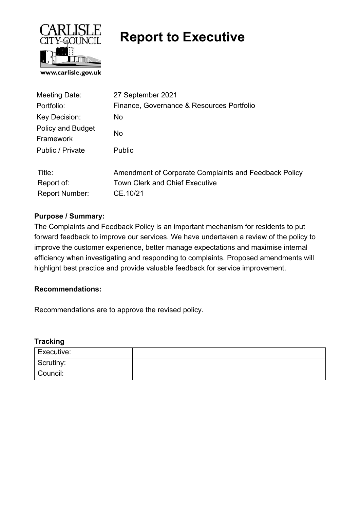

# **Report to Executive**

| Meeting Date:                         | 27 September 2021                                     |
|---------------------------------------|-------------------------------------------------------|
| Portfolio:                            | Finance, Governance & Resources Portfolio             |
| Key Decision:                         | No.                                                   |
| <b>Policy and Budget</b><br>Framework | <b>No</b>                                             |
| Public / Private                      | Public                                                |
|                                       |                                                       |
| Title:                                | Amendment of Corporate Complaints and Feedback Policy |
| Report of:                            | <b>Town Clerk and Chief Executive</b>                 |
| <b>Report Number:</b>                 | CE.10/21                                              |

#### **Purpose / Summary:**

The Complaints and Feedback Policy is an important mechanism for residents to put forward feedback to improve our services. We have undertaken a review of the policy to improve the customer experience, better manage expectations and maximise internal efficiency when investigating and responding to complaints. Proposed amendments will highlight best practice and provide valuable feedback for service improvement.

#### **Recommendations:**

Recommendations are to approve the revised policy.

#### **Tracking**

| Executive: |  |
|------------|--|
| Scrutiny:  |  |
| Council:   |  |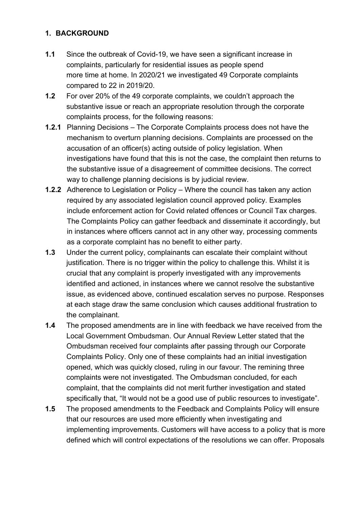#### **1. BACKGROUND**

- **1.1** Since the outbreak of Covid-19, we have seen a significant increase in complaints, particularly for residential issues as people spend more time at home. In 2020/21 we investigated 49 Corporate complaints compared to 22 in 2019/20.
- **1.2** For over 20% of the 49 corporate complaints, we couldn't approach the substantive issue or reach an appropriate resolution through the corporate complaints process, for the following reasons:
- **1.2.1** Planning Decisions The Corporate Complaints process does not have the mechanism to overturn planning decisions. Complaints are processed on the accusation of an officer(s) acting outside of policy legislation. When investigations have found that this is not the case, the complaint then returns to the substantive issue of a disagreement of committee decisions. The correct way to challenge planning decisions is by judicial review.
- **1.2.2** Adherence to Legislation or Policy Where the council has taken any action required by any associated legislation council approved policy. Examples include enforcement action for Covid related offences or Council Tax charges. The Complaints Policy can gather feedback and disseminate it accordingly, but in instances where officers cannot act in any other way, processing comments as a corporate complaint has no benefit to either party.
- **1.3** Under the current policy, complainants can escalate their complaint without justification. There is no trigger within the policy to challenge this. Whilst it is crucial that any complaint is properly investigated with any improvements identified and actioned, in instances where we cannot resolve the substantive issue, as evidenced above, continued escalation serves no purpose. Responses at each stage draw the same conclusion which causes additional frustration to the complainant.
- **1.4** The proposed amendments are in line with feedback we have received from the Local Government Ombudsman. Our Annual Review Letter stated that the Ombudsman received four complaints after passing through our Corporate Complaints Policy. Only one of these complaints had an initial investigation opened, which was quickly closed, ruling in our favour. The remining three complaints were not investigated. The Ombudsman concluded, for each complaint, that the complaints did not merit further investigation and stated specifically that, "It would not be a good use of public resources to investigate".
- **1.5** The proposed amendments to the Feedback and Complaints Policy will ensure that our resources are used more efficiently when investigating and implementing improvements. Customers will have access to a policy that is more defined which will control expectations of the resolutions we can offer. Proposals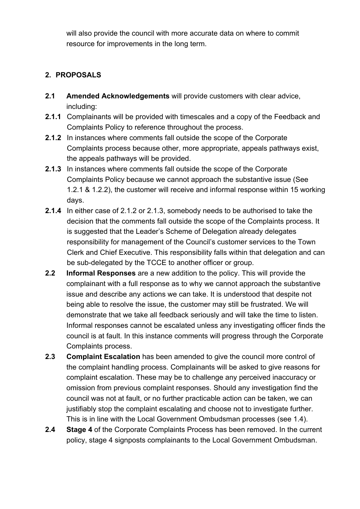will also provide the council with more accurate data on where to commit resource for improvements in the long term.

#### **2. PROPOSALS**

- **2.1 Amended Acknowledgements** will provide customers with clear advice, including:
- **2.1.1** Complainants will be provided with timescales and a copy of the Feedback and Complaints Policy to reference throughout the process.
- **2.1.2** In instances where comments fall outside the scope of the Corporate Complaints process because other, more appropriate, appeals pathways exist, the appeals pathways will be provided.
- **2.1.3** In instances where comments fall outside the scope of the Corporate Complaints Policy because we cannot approach the substantive issue (See 1.2.1 & 1.2.2), the customer will receive and informal response within 15 working days.
- **2.1.4** In either case of 2.1.2 or 2.1.3, somebody needs to be authorised to take the decision that the comments fall outside the scope of the Complaints process. It is suggested that the Leader's Scheme of Delegation already delegates responsibility for management of the Council's customer services to the Town Clerk and Chief Executive. This responsibility falls within that delegation and can be sub-delegated by the TCCE to another officer or group.
- **2.2 Informal Responses** are a new addition to the policy. This will provide the complainant with a full response as to why we cannot approach the substantive issue and describe any actions we can take. It is understood that despite not being able to resolve the issue, the customer may still be frustrated. We will demonstrate that we take all feedback seriously and will take the time to listen. Informal responses cannot be escalated unless any investigating officer finds the council is at fault. In this instance comments will progress through the Corporate Complaints process.
- **2.3 Complaint Escalation** has been amended to give the council more control of the complaint handling process. Complainants will be asked to give reasons for complaint escalation. These may be to challenge any perceived inaccuracy or omission from previous complaint responses. Should any investigation find the council was not at fault, or no further practicable action can be taken, we can justifiably stop the complaint escalating and choose not to investigate further. This is in line with the Local Government Ombudsman processes (see 1.4).
- **2.4 Stage 4** of the Corporate Complaints Process has been removed. In the current policy, stage 4 signposts complainants to the Local Government Ombudsman.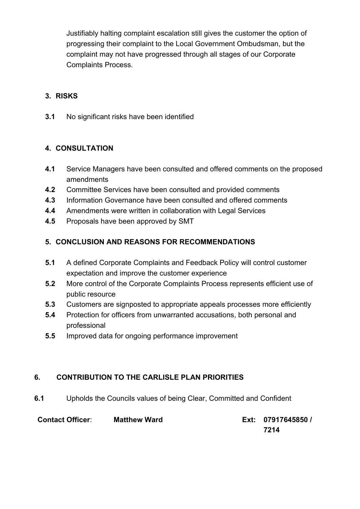Justifiably halting complaint escalation still gives the customer the option of progressing their complaint to the Local Government Ombudsman, but the complaint may not have progressed through all stages of our Corporate Complaints Process.

#### **3. RISKS**

**3.1** No significant risks have been identified

#### **4. CONSULTATION**

- **4.1** Service Managers have been consulted and offered comments on the proposed amendments
- **4.2** Committee Services have been consulted and provided comments
- **4.3** Information Governance have been consulted and offered comments
- **4.4** Amendments were written in collaboration with Legal Services
- **4.5** Proposals have been approved by SMT

#### **5. CONCLUSION AND REASONS FOR RECOMMENDATIONS**

- **5.1** A defined Corporate Complaints and Feedback Policy will control customer expectation and improve the customer experience
- **5.2** More control of the Corporate Complaints Process represents efficient use of public resource
- **5.3** Customers are signposted to appropriate appeals processes more efficiently
- **5.4** Protection for officers from unwarranted accusations, both personal and professional
- **5.5** Improved data for ongoing performance improvement

#### **6. CONTRIBUTION TO THE CARLISLE PLAN PRIORITIES**

**6.1** Upholds the Councils values of being Clear, Committed and Confident

| <b>Contact Officer:</b> | <b>Matthew Ward</b> | Ext: 07917645850/ |
|-------------------------|---------------------|-------------------|
|                         |                     | 7214              |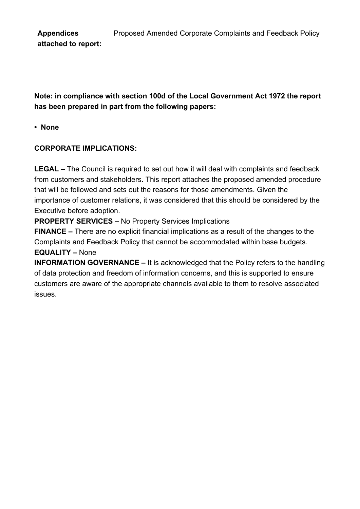**Note: in compliance with section 100d of the Local Government Act 1972 the report has been prepared in part from the following papers:** 

**• None** 

#### **CORPORATE IMPLICATIONS:**

**LEGAL –** The Council is required to set out how it will deal with complaints and feedback from customers and stakeholders. This report attaches the proposed amended procedure that will be followed and sets out the reasons for those amendments. Given the importance of customer relations, it was considered that this should be considered by the Executive before adoption.

**PROPERTY SERVICES –** No Property Services Implications

**FINANCE –** There are no explicit financial implications as a result of the changes to the Complaints and Feedback Policy that cannot be accommodated within base budgets. **EQUALITY –** None

**INFORMATION GOVERNANCE –** It is acknowledged that the Policy refers to the handling of data protection and freedom of information concerns, and this is supported to ensure customers are aware of the appropriate channels available to them to resolve associated issues.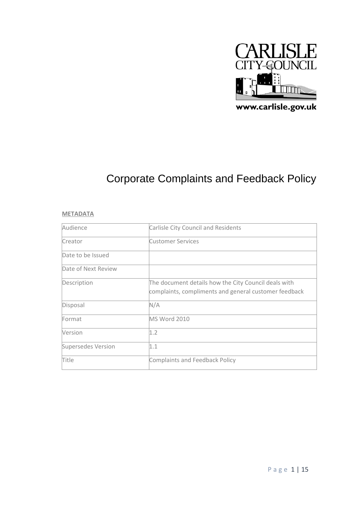

# Corporate Complaints and Feedback Policy

#### **METADATA**

| Audience                  | Carlisle City Council and Residents                                                                           |
|---------------------------|---------------------------------------------------------------------------------------------------------------|
| Creator                   | <b>Customer Services</b>                                                                                      |
| Date to be Issued         |                                                                                                               |
| Date of Next Review       |                                                                                                               |
| Description               | The document details how the City Council deals with<br>complaints, compliments and general customer feedback |
| Disposal                  | N/A                                                                                                           |
| Format                    | <b>MS Word 2010</b>                                                                                           |
| Version                   | 1.2                                                                                                           |
| <b>Supersedes Version</b> | 1.1                                                                                                           |
| Title                     | <b>Complaints and Feedback Policy</b>                                                                         |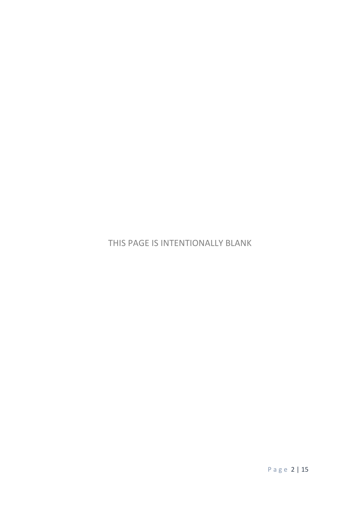THIS PAGE IS INTENTIONALLY BLANK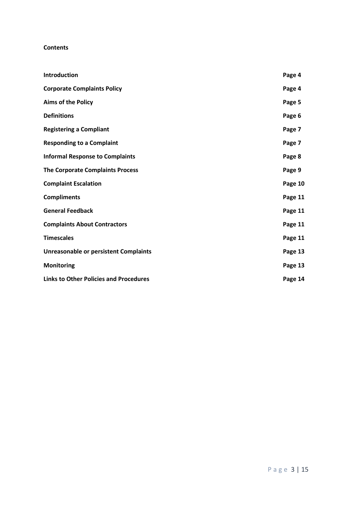#### **Contents**

| Introduction                                  | Page 4  |
|-----------------------------------------------|---------|
| <b>Corporate Complaints Policy</b>            | Page 4  |
| <b>Aims of the Policy</b>                     | Page 5  |
| <b>Definitions</b>                            | Page 6  |
| <b>Registering a Compliant</b>                | Page 7  |
| <b>Responding to a Complaint</b>              | Page 7  |
| <b>Informal Response to Complaints</b>        | Page 8  |
| <b>The Corporate Complaints Process</b>       | Page 9  |
| <b>Complaint Escalation</b>                   | Page 10 |
| <b>Compliments</b>                            | Page 11 |
| <b>General Feedback</b>                       | Page 11 |
| <b>Complaints About Contractors</b>           | Page 11 |
| <b>Timescales</b>                             | Page 11 |
| <b>Unreasonable or persistent Complaints</b>  | Page 13 |
| <b>Monitoring</b>                             | Page 13 |
| <b>Links to Other Policies and Procedures</b> | Page 14 |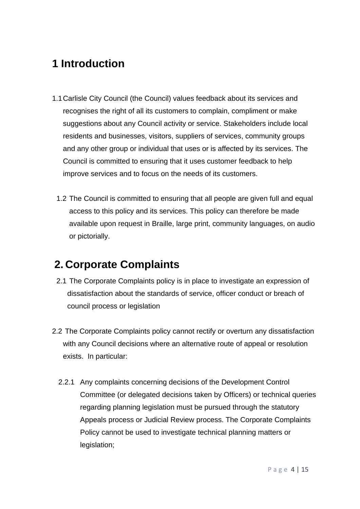## **1 Introduction**

- 1.1Carlisle City Council (the Council) values feedback about its services and recognises the right of all its customers to complain, compliment or make suggestions about any Council activity or service. Stakeholders include local residents and businesses, visitors, suppliers of services, community groups and any other group or individual that uses or is affected by its services. The Council is committed to ensuring that it uses customer feedback to help improve services and to focus on the needs of its customers.
	- 1.2 The Council is committed to ensuring that all people are given full and equal access to this policy and its services. This policy can therefore be made available upon request in Braille, large print, community languages, on audio or pictorially.

#### **2. Corporate Complaints**

- 2.1 The Corporate Complaints policy is in place to investigate an expression of dissatisfaction about the standards of service, officer conduct or breach of council process or legislation
- 2.2 The Corporate Complaints policy cannot rectify or overturn any dissatisfaction with any Council decisions where an alternative route of appeal or resolution exists. In particular:
	- 2.2.1 Any complaints concerning decisions of the Development Control Committee (or delegated decisions taken by Officers) or technical queries regarding planning legislation must be pursued through the statutory Appeals process or Judicial Review process. The Corporate Complaints Policy cannot be used to investigate technical planning matters or legislation;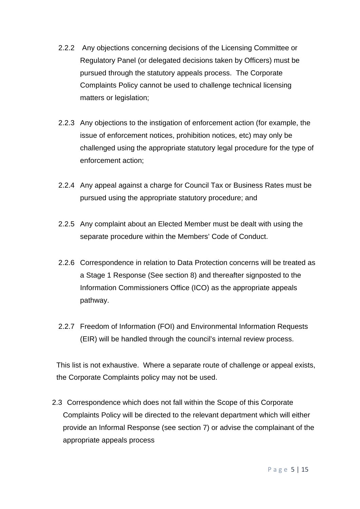- 2.2.2 Any objections concerning decisions of the Licensing Committee or Regulatory Panel (or delegated decisions taken by Officers) must be pursued through the statutory appeals process. The Corporate Complaints Policy cannot be used to challenge technical licensing matters or legislation;
- 2.2.3 Any objections to the instigation of enforcement action (for example, the issue of enforcement notices, prohibition notices, etc) may only be challenged using the appropriate statutory legal procedure for the type of enforcement action;
- 2.2.4 Any appeal against a charge for Council Tax or Business Rates must be pursued using the appropriate statutory procedure; and
- 2.2.5 Any complaint about an Elected Member must be dealt with using the separate procedure within the Members' Code of Conduct.
- 2.2.6 Correspondence in relation to Data Protection concerns will be treated as a Stage 1 Response (See section 8) and thereafter signposted to the Information Commissioners Office (ICO) as the appropriate appeals pathway.
- 2.2.7 Freedom of Information (FOI) and Environmental Information Requests (EIR) will be handled through the council's internal review process.

This list is not exhaustive. Where a separate route of challenge or appeal exists, the Corporate Complaints policy may not be used.

2.3 Correspondence which does not fall within the Scope of this Corporate Complaints Policy will be directed to the relevant department which will either provide an Informal Response (see section 7) or advise the complainant of the appropriate appeals process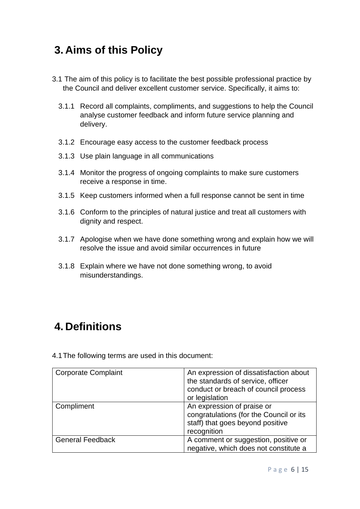## **3. Aims of this Policy**

- 3.1 The aim of this policy is to facilitate the best possible professional practice by the Council and deliver excellent customer service. Specifically, it aims to:
	- 3.1.1 Record all complaints, compliments, and suggestions to help the Council analyse customer feedback and inform future service planning and delivery.
	- 3.1.2 Encourage easy access to the customer feedback process
	- 3.1.3 Use plain language in all communications
	- 3.1.4 Monitor the progress of ongoing complaints to make sure customers receive a response in time.
	- 3.1.5 Keep customers informed when a full response cannot be sent in time
	- 3.1.6 Conform to the principles of natural justice and treat all customers with dignity and respect.
	- 3.1.7 Apologise when we have done something wrong and explain how we will resolve the issue and avoid similar occurrences in future
	- 3.1.8 Explain where we have not done something wrong, to avoid misunderstandings.

### **4. Definitions**

4.1The following terms are used in this document:

| <b>Corporate Complaint</b> | An expression of dissatisfaction about<br>the standards of service, officer<br>conduct or breach of council process<br>or legislation |
|----------------------------|---------------------------------------------------------------------------------------------------------------------------------------|
| Compliment                 | An expression of praise or<br>congratulations (for the Council or its<br>staff) that goes beyond positive<br>recognition              |
| <b>General Feedback</b>    | A comment or suggestion, positive or<br>negative, which does not constitute a                                                         |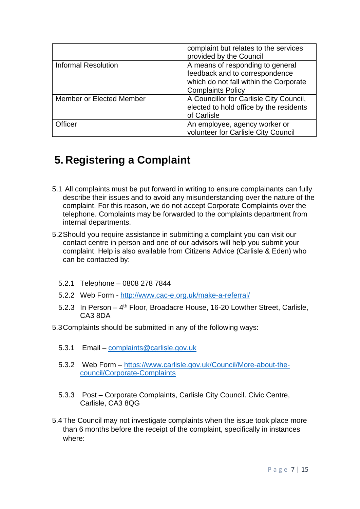|                            | complaint but relates to the services<br>provided by the Council                                                                         |
|----------------------------|------------------------------------------------------------------------------------------------------------------------------------------|
| <b>Informal Resolution</b> | A means of responding to general<br>feedback and to correspondence<br>which do not fall within the Corporate<br><b>Complaints Policy</b> |
| Member or Elected Member   | A Councillor for Carlisle City Council,<br>elected to hold office by the residents<br>of Carlisle                                        |
| Officer                    | An employee, agency worker or<br>volunteer for Carlisle City Council                                                                     |

## **5. Registering a Complaint**

- 5.1 All complaints must be put forward in writing to ensure complainants can fully describe their issues and to avoid any misunderstanding over the nature of the complaint. For this reason, we do not accept Corporate Complaints over the telephone. Complaints may be forwarded to the complaints department from internal departments.
- 5.2Should you require assistance in submitting a complaint you can visit our contact centre in person and one of our advisors will help you submit your complaint. Help is also available from Citizens Advice (Carlisle & Eden) who can be contacted by:
	- 5.2.1 Telephone 0808 278 7844
	- 5.2.2 Web Form <http://www.cac-e.org.uk/make-a-referral/>
	- 5.2.3 In Person 4<sup>th</sup> Floor, Broadacre House, 16-20 Lowther Street, Carlisle, CA3 8DA
- 5.3Complaints should be submitted in any of the following ways:
	- 5.3.1 Email [complaints@carlisle.gov.uk](mailto:complaints@carlisle.gov.uk)
	- 5.3.2 Web Form [https://www.carlisle.gov.uk/Council/More-about-the](https://www.carlisle.gov.uk/Council/More-about-the-council/Corporate-Complaints)[council/Corporate-Complaints](https://www.carlisle.gov.uk/Council/More-about-the-council/Corporate-Complaints)
	- 5.3.3 Post Corporate Complaints, Carlisle City Council. Civic Centre, Carlisle, CA3 8QG
- 5.4The Council may not investigate complaints when the issue took place more than 6 months before the receipt of the complaint, specifically in instances where: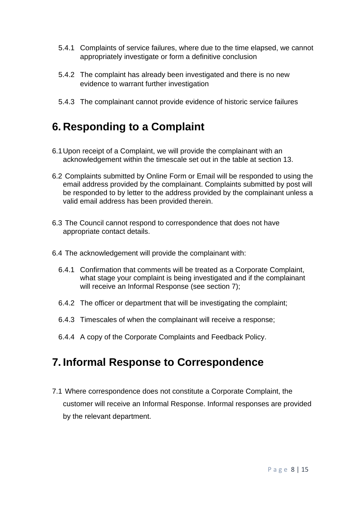- 5.4.1 Complaints of service failures, where due to the time elapsed, we cannot appropriately investigate or form a definitive conclusion
- 5.4.2 The complaint has already been investigated and there is no new evidence to warrant further investigation
- 5.4.3 The complainant cannot provide evidence of historic service failures

## **6. Responding to a Complaint**

- 6.1Upon receipt of a Complaint, we will provide the complainant with an acknowledgement within the timescale set out in the table at section 13.
- 6.2 Complaints submitted by Online Form or Email will be responded to using the email address provided by the complainant. Complaints submitted by post will be responded to by letter to the address provided by the complainant unless a valid email address has been provided therein.
- 6.3 The Council cannot respond to correspondence that does not have appropriate contact details.
- 6.4 The acknowledgement will provide the complainant with:
	- 6.4.1 Confirmation that comments will be treated as a Corporate Complaint, what stage your complaint is being investigated and if the complainant will receive an Informal Response (see section 7);
	- 6.4.2 The officer or department that will be investigating the complaint;
	- 6.4.3 Timescales of when the complainant will receive a response;
	- 6.4.4 A copy of the Corporate Complaints and Feedback Policy.

#### **7. Informal Response to Correspondence**

7.1 Where correspondence does not constitute a Corporate Complaint, the customer will receive an Informal Response. Informal responses are provided by the relevant department.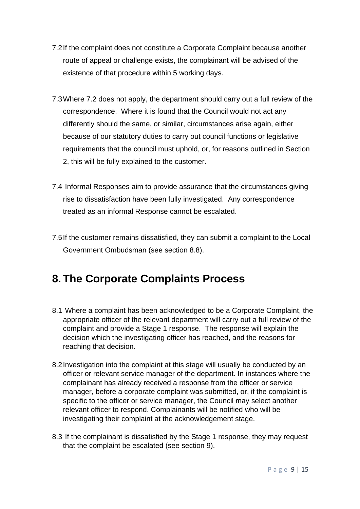- 7.2If the complaint does not constitute a Corporate Complaint because another route of appeal or challenge exists, the complainant will be advised of the existence of that procedure within 5 working days.
- 7.3Where 7.2 does not apply, the department should carry out a full review of the correspondence. Where it is found that the Council would not act any differently should the same, or similar, circumstances arise again, either because of our statutory duties to carry out council functions or legislative requirements that the council must uphold, or, for reasons outlined in Section 2, this will be fully explained to the customer.
- 7.4 Informal Responses aim to provide assurance that the circumstances giving rise to dissatisfaction have been fully investigated. Any correspondence treated as an informal Response cannot be escalated.
- 7.5If the customer remains dissatisfied, they can submit a complaint to the Local Government Ombudsman (see section 8.8).

### **8. The Corporate Complaints Process**

- 8.1 Where a complaint has been acknowledged to be a Corporate Complaint, the appropriate officer of the relevant department will carry out a full review of the complaint and provide a Stage 1 response. The response will explain the decision which the investigating officer has reached, and the reasons for reaching that decision.
- 8.2Investigation into the complaint at this stage will usually be conducted by an officer or relevant service manager of the department. In instances where the complainant has already received a response from the officer or service manager, before a corporate complaint was submitted, or, if the complaint is specific to the officer or service manager, the Council may select another relevant officer to respond. Complainants will be notified who will be investigating their complaint at the acknowledgement stage.
- 8.3 If the complainant is dissatisfied by the Stage 1 response, they may request that the complaint be escalated (see section 9).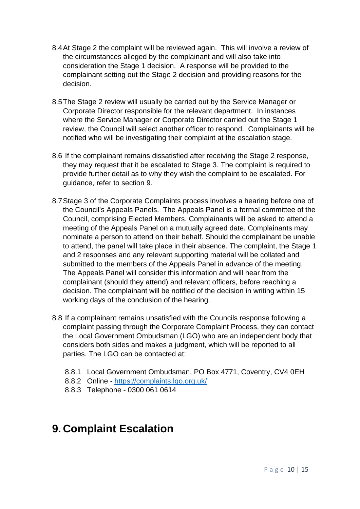- 8.4At Stage 2 the complaint will be reviewed again. This will involve a review of the circumstances alleged by the complainant and will also take into consideration the Stage 1 decision. A response will be provided to the complainant setting out the Stage 2 decision and providing reasons for the decision.
- 8.5The Stage 2 review will usually be carried out by the Service Manager or Corporate Director responsible for the relevant department. In instances where the Service Manager or Corporate Director carried out the Stage 1 review, the Council will select another officer to respond. Complainants will be notified who will be investigating their complaint at the escalation stage.
- 8.6 If the complainant remains dissatisfied after receiving the Stage 2 response, they may request that it be escalated to Stage 3. The complaint is required to provide further detail as to why they wish the complaint to be escalated. For guidance, refer to section 9.
- 8.7Stage 3 of the Corporate Complaints process involves a hearing before one of the Council's Appeals Panels. The Appeals Panel is a formal committee of the Council, comprising Elected Members. Complainants will be asked to attend a meeting of the Appeals Panel on a mutually agreed date. Complainants may nominate a person to attend on their behalf. Should the complainant be unable to attend, the panel will take place in their absence. The complaint, the Stage 1 and 2 responses and any relevant supporting material will be collated and submitted to the members of the Appeals Panel in advance of the meeting. The Appeals Panel will consider this information and will hear from the complainant (should they attend) and relevant officers, before reaching a decision. The complainant will be notified of the decision in writing within 15 working days of the conclusion of the hearing.
- 8.8 If a complainant remains unsatisfied with the Councils response following a complaint passing through the Corporate Complaint Process, they can contact the Local Government Ombudsman (LGO) who are an independent body that considers both sides and makes a judgment, which will be reported to all parties. The LGO can be contacted at:
	- 8.8.1 Local Government Ombudsman, PO Box 4771, Coventry, CV4 0EH
	- 8.8.2 Online <https://complaints.lgo.org.uk/>
	- 8.8.3 Telephone 0300 061 0614

#### **9. Complaint Escalation**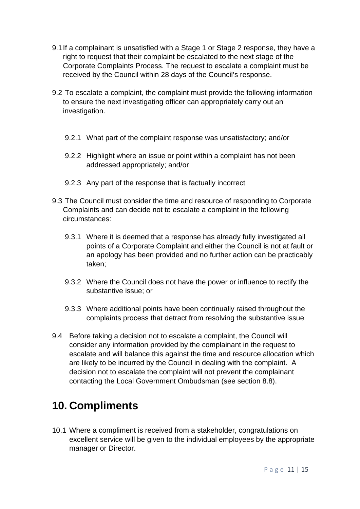- 9.1If a complainant is unsatisfied with a Stage 1 or Stage 2 response, they have a right to request that their complaint be escalated to the next stage of the Corporate Complaints Process. The request to escalate a complaint must be received by the Council within 28 days of the Council's response.
- 9.2 To escalate a complaint, the complaint must provide the following information to ensure the next investigating officer can appropriately carry out an investigation.
	- 9.2.1 What part of the complaint response was unsatisfactory; and/or
	- 9.2.2 Highlight where an issue or point within a complaint has not been addressed appropriately; and/or
	- 9.2.3 Any part of the response that is factually incorrect
- 9.3 The Council must consider the time and resource of responding to Corporate Complaints and can decide not to escalate a complaint in the following circumstances:
	- 9.3.1 Where it is deemed that a response has already fully investigated all points of a Corporate Complaint and either the Council is not at fault or an apology has been provided and no further action can be practicably taken;
	- 9.3.2 Where the Council does not have the power or influence to rectify the substantive issue; or
	- 9.3.3 Where additional points have been continually raised throughout the complaints process that detract from resolving the substantive issue
- 9.4 Before taking a decision not to escalate a complaint, the Council will consider any information provided by the complainant in the request to escalate and will balance this against the time and resource allocation which are likely to be incurred by the Council in dealing with the complaint. A decision not to escalate the complaint will not prevent the complainant contacting the Local Government Ombudsman (see section 8.8).

## **10. Compliments**

10.1 Where a compliment is received from a stakeholder, congratulations on excellent service will be given to the individual employees by the appropriate manager or Director.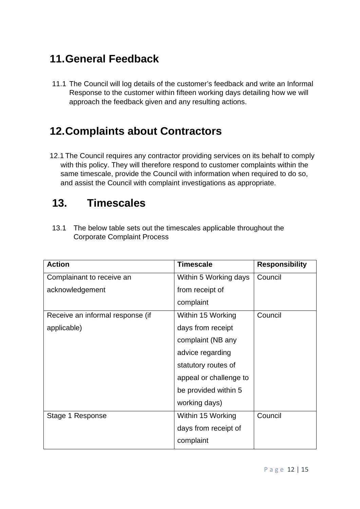## **11.General Feedback**

11.1 The Council will log details of the customer's feedback and write an Informal Response to the customer within fifteen working days detailing how we will approach the feedback given and any resulting actions.

## **12.Complaints about Contractors**

12.1 The Council requires any contractor providing services on its behalf to comply with this policy. They will therefore respond to customer complaints within the same timescale, provide the Council with information when required to do so, and assist the Council with complaint investigations as appropriate.

## **13. Timescales**

13.1 The below table sets out the timescales applicable throughout the Corporate Complaint Process

| <b>Action</b>                    | <b>Timescale</b>       | <b>Responsibility</b> |
|----------------------------------|------------------------|-----------------------|
| Complainant to receive an        | Within 5 Working days  | Council               |
| acknowledgement                  | from receipt of        |                       |
|                                  | complaint              |                       |
| Receive an informal response (if | Within 15 Working      | Council               |
| applicable)                      | days from receipt      |                       |
|                                  | complaint (NB any      |                       |
|                                  | advice regarding       |                       |
|                                  | statutory routes of    |                       |
|                                  | appeal or challenge to |                       |
|                                  | be provided within 5   |                       |
|                                  | working days)          |                       |
| Stage 1 Response                 | Within 15 Working      | Council               |
|                                  | days from receipt of   |                       |
|                                  | complaint              |                       |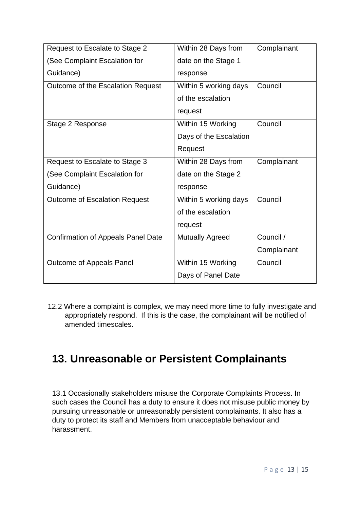| Request to Escalate to Stage 2            | Within 28 Days from    | Complainant |
|-------------------------------------------|------------------------|-------------|
| (See Complaint Escalation for             | date on the Stage 1    |             |
| Guidance)                                 | response               |             |
| Outcome of the Escalation Request         | Within 5 working days  | Council     |
|                                           | of the escalation      |             |
|                                           | request                |             |
| Stage 2 Response                          | Within 15 Working      | Council     |
|                                           | Days of the Escalation |             |
|                                           | Request                |             |
| Request to Escalate to Stage 3            | Within 28 Days from    | Complainant |
| (See Complaint Escalation for             | date on the Stage 2    |             |
| Guidance)                                 | response               |             |
| <b>Outcome of Escalation Request</b>      | Within 5 working days  | Council     |
|                                           | of the escalation      |             |
|                                           | request                |             |
| <b>Confirmation of Appeals Panel Date</b> | <b>Mutually Agreed</b> | Council /   |
|                                           |                        | Complainant |
| Outcome of Appeals Panel                  | Within 15 Working      | Council     |
|                                           | Days of Panel Date     |             |

12.2 Where a complaint is complex, we may need more time to fully investigate and appropriately respond. If this is the case, the complainant will be notified of amended timescales.

## **13. Unreasonable or Persistent Complainants**

13.1 Occasionally stakeholders misuse the Corporate Complaints Process. In such cases the Council has a duty to ensure it does not misuse public money by pursuing unreasonable or unreasonably persistent complainants. It also has a duty to protect its staff and Members from unacceptable behaviour and harassment.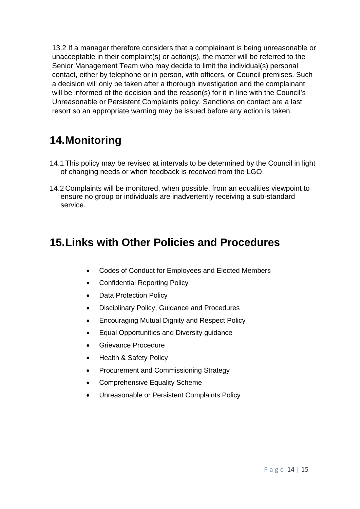13.2 If a manager therefore considers that a complainant is being unreasonable or unacceptable in their complaint(s) or action(s), the matter will be referred to the Senior Management Team who may decide to limit the individual(s) personal contact, either by telephone or in person, with officers, or Council premises. Such a decision will only be taken after a thorough investigation and the complainant will be informed of the decision and the reason(s) for it in line with the Council's Unreasonable or Persistent Complaints policy. Sanctions on contact are a last resort so an appropriate warning may be issued before any action is taken.

### **14.Monitoring**

- 14.1 This policy may be revised at intervals to be determined by the Council in light of changing needs or when feedback is received from the LGO.
- 14.2 Complaints will be monitored, when possible, from an equalities viewpoint to ensure no group or individuals are inadvertently receiving a sub-standard service.

#### **15.Links with Other Policies and Procedures**

- Codes of Conduct for Employees and Elected Members
- Confidential Reporting Policy
- Data Protection Policy
- Disciplinary Policy, Guidance and Procedures
- Encouraging Mutual Dignity and Respect Policy
- Equal Opportunities and Diversity guidance
- Grievance Procedure
- Health & Safety Policy
- Procurement and Commissioning Strategy
- Comprehensive Equality Scheme
- Unreasonable or Persistent Complaints Policy